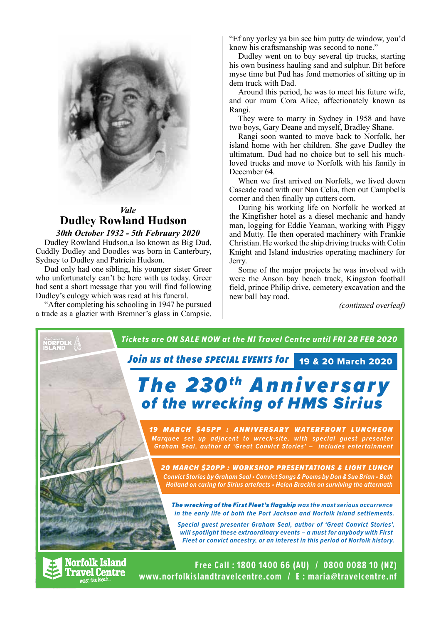

## *Vale* **Dudley Rowland Hudson**

*30th October 1932 - 5th February 2020* Dudley Rowland Hudson,a lso known as Big Dud, Cuddly Dudley and Doodles was born in Canterbury, Sydney to Dudley and Patricia Hudson.

Dud only had one sibling, his younger sister Greer who unfortunately can't be here with us today. Greer had sent a short message that you will find following Dudley's eulogy which was read at his funeral.

"After completing his schooling in 1947 he pursued a trade as a glazier with Bremner's glass in Campsie. "Ef any yorley ya bin see him putty de window, you'd know his craftsmanship was second to none."

Dudley went on to buy several tip trucks, starting his own business hauling sand and sulphur. Bit before myse time but Pud has fond memories of sitting up in dem truck with Dad.

Around this period, he was to meet his future wife, and our mum Cora Alice, affectionately known as Rangi.

They were to marry in Sydney in 1958 and have two boys, Gary Deane and myself, Bradley Shane.

Rangi soon wanted to move back to Norfolk, her island home with her children. She gave Dudley the ultimatum. Dud had no choice but to sell his muchloved trucks and move to Norfolk with his family in December 64.

When we first arrived on Norfolk, we lived down Cascade road with our Nan Celia, then out Campbells corner and then finally up cutters corn.

During his working life on Norfolk he worked at the Kingfisher hotel as a diesel mechanic and handy man, logging for Eddie Yeaman, working with Piggy and Mutty. He then operated machinery with Frankie Christian. He worked the ship driving trucks with Colin Knight and Island industries operating machinery for Jerry.

Some of the major projects he was involved with were the Anson bay beach track, Kingston football field, prince Philip drive, cemetery excavation and the new ball bay road.

*(continued overleaf)*

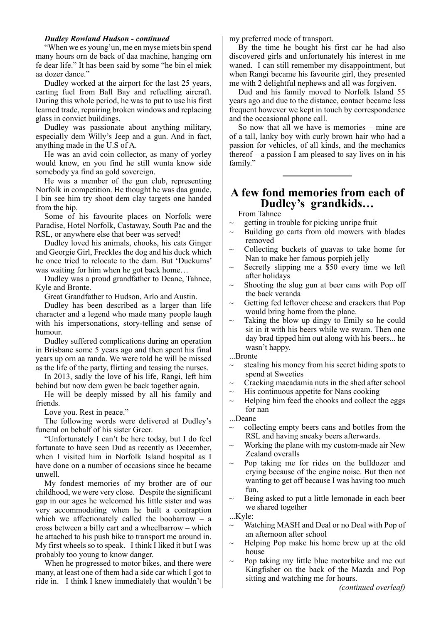#### *Dudley Rowland Hudson - continued*

"When we es young'un, me en myse miets bin spend many hours orn de back of daa machine, hanging orn fe dear life." It has been said by some "he bin el miek aa dozer dance."

Dudley worked at the airport for the last 25 years, carting fuel from Ball Bay and refuelling aircraft. During this whole period, he was to put to use his first learned trade, repairing broken windows and replacing glass in convict buildings.

Dudley was passionate about anything military, especially dem Willy's Jeep and a gun. And in fact, anything made in the U.S of A.

He was an avid coin collector, as many of yorley would know, en you find he still wunta know side somebody ya find aa gold sovereign.

He was a member of the gun club, representing Norfolk in competition. He thought he was daa guude, I bin see him try shoot dem clay targets one handed from the hip.

Some of his favourite places on Norfolk were Paradise, Hotel Norfolk, Castaway, South Pac and the RSL, or anywhere else that beer was served!

Dudley loved his animals, chooks, his cats Ginger and Georgie Girl, Freckles the dog and his duck which he once tried to relocate to the dam. But 'Duckums' was waiting for him when he got back home…

Dudley was a proud grandfather to Deane, Tahnee, Kyle and Bronte.

Great Grandfather to Hudson, Arlo and Austin.

Dudley has been described as a larger than life character and a legend who made many people laugh with his impersonations, story-telling and sense of humour.

Dudley suffered complications during an operation in Brisbane some 5 years ago and then spent his final years up orn aa randa. We were told he will be missed as the life of the party, flirting and teasing the nurses.

In 2013, sadly the love of his life, Rangi, left him behind but now dem gwen be back together again.

He will be deeply missed by all his family and friends.

Love you. Rest in peace."

The following words were delivered at Dudley's funeral on behalf of his sister Greer.

"Unfortunately I can't be here today, but I do feel fortunate to have seen Dud as recently as December, when I visited him in Norfolk Island hospital as I have done on a number of occasions since he became unwell.

My fondest memories of my brother are of our childhood, we were very close. Despite the significant gap in our ages he welcomed his little sister and was very accommodating when he built a contraption which we affectionately called the boobarrow  $-$  a cross between a billy cart and a wheelbarrow – which he attached to his push bike to transport me around in. My first wheels so to speak. I think I liked it but I was probably too young to know danger.

When he progressed to motor bikes, and there were many, at least one of them had a side car which I got to ride in. I think I knew immediately that wouldn't be

my preferred mode of transport.

By the time he bought his first car he had also discovered girls and unfortunately his interest in me waned. I can still remember my disappointment, but when Rangi became his favourite girl, they presented me with 2 delightful nephews and all was forgiven.

Dud and his family moved to Norfolk Island 55 years ago and due to the distance, contact became less frequent however we kept in touch by correspondence and the occasional phone call.

So now that all we have is memories – mine are of a tall, lanky boy with curly brown hair who had a passion for vehicles, of all kinds, and the mechanics thereof – a passion I am pleased to say lives on in his family."

## **A few fond memories from each of Dudley's grandkids…**

From Tahnee

- getting in trouble for picking unripe fruit
- Building go carts from old mowers with blades removed
- ~ Collecting buckets of guavas to take home for Nan to make her famous porpieh jelly
- $\sim$  Secretly slipping me a \$50 every time we left after holidays
- Shooting the slug gun at beer cans with Pop off the back veranda
- Getting fed leftover cheese and crackers that Pop would bring home from the plane.
- $\sim$  Taking the blow up dingy to Emily so he could sit in it with his beers while we swam. Then one day brad tipped him out along with his beers... he wasn't happy.

...Bronte

- stealing his money from his secret hiding spots to spend at Sweeties
- $\sim$  Cracking macadamia nuts in the shed after school
- $\sim$  His continuous appetite for Nans cooking
- $\sim$  Helping him feed the chooks and collect the eggs for nan
- ...Deane
- ~ collecting empty beers cans and bottles from the RSL and having sneaky beers afterwards.
- Working the plane with my custom-made air New Zealand overalls
- Pop taking me for rides on the bulldozer and crying because of the engine noise. But then not wanting to get off because I was having too much fun.
- Being asked to put a little lemonade in each beer we shared together

...Kyle:

- Watching MASH and Deal or no Deal with Pop of an afternoon after school
- ~ Helping Pop make his home brew up at the old house
- Pop taking my little blue motorbike and me out Kingfisher on the back of the Mazda and Pop sitting and watching me for hours.